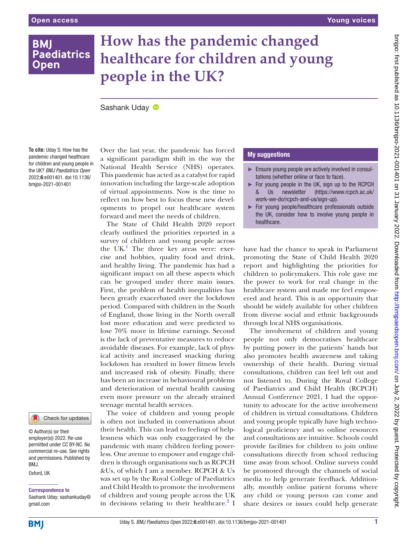## **BMI Paediatrics Open**

# **How has the pandemic changed healthcare for children and young people in the UK?**

SashankUday <sup>®</sup>

**To cite:** Uday S. How has the pandemic changed healthcare for children and young people in the UK? *BMJ Paediatrics Open* 2022;6:e001401. doi:10.1136/ bmjpo-2021-001401

Check for updates

© Author(s) (or their employer(s)) 2022. Re-use permitted under CC BY-NC. No commercial re-use. See rights and permissions. Published by RM<sub>J</sub>

Oxford, UK

Correspondence to Sashank Uday; sashankuday@ gmail.com

Over the last year, the pandemic has forced a significant paradigm shift in the way the National Health Service (NHS) operates. This pandemic has acted as a catalyst for rapid innovation including the large-scale adoption of virtual appointments. Now is the time to reflect on how best to focus these new developments to propel our healthcare system forward and meet the needs of children.

The State of Child Health 2020 report clearly outlined the priorities reported in a survey of children and young people across the  $UK<sup>1</sup>$  The three key areas were: exercise and hobbies, quality food and drink, and healthy living. The pandemic has had a significant impact on all these aspects which can be grouped under three main issues. First, the problem of health inequalities has been greatly exacerbated over the lockdown period. Compared with children in the South of England, those living in the North overall lost more education and were predicted to lose 70% more in lifetime earnings. Second is the lack of preventative measures to reduce avoidable diseases. For example, lack of physical activity and increased snacking during lockdown has resulted in lower fitness levels and increased risk of obesity. Finally, there has been an increase in behavioural problems and deterioration of mental health causing even more pressure on the already strained teenage mental health services.

The voice of children and young people is often not included in conversations about their health. This can lead to feelings of helplessness which was only exaggerated by the pandemic with many children feeling powerless. One avenue to empower and engage children is through organisations such as RCPCH &Us, of which I am a member. RCPCH & Us was set up by the Royal College of Paediatrics and Child Health to promote the involvement of children and young people across the UK in decisions relating to their healthcare. ${}^{2}$  I

### My suggestions

- ► Ensure young people are actively involved in consultations (whether online or face to face).
- ► For young people in the UK, sign up to the RCPCH & Us newsletter ([https://www.rcpch.ac.uk/](https://www.rcpch.ac.uk/work-we-do/rcpch-and-us/sign-up) [work-we-do/rcpch-and-us/sign-up\)](https://www.rcpch.ac.uk/work-we-do/rcpch-and-us/sign-up).
- ► For young people/healthcare professionals outside the UK, consider how to involve young people in healthcare.

have had the chance to speak in Parliament promoting the State of Child Health 2020 report and highlighting the priorities for children to policymakers. This role gave me the power to work for real change in the healthcare system and made me feel empowered and heard. This is an opportunity that should be widely available for other children from diverse social and ethnic backgrounds through local NHS organisations.

The involvement of children and young people not only democratises healthcare by putting power in the patients' hands but also promotes health awareness and taking ownership of their health. During virtual consultations, children can feel left out and not listened to. During the Royal College of Paediatrics and Child Health (RCPCH) Annual Conference 2021, I had the opportunity to advocate for the active involvement of children in virtual consultations. Children and young people typically have high technological proficiency and so online resources and consultations are intuitive. Schools could provide facilities for children to join online consultations directly from school reducing time away from school. Online surveys could be promoted through the channels of social media to help generate feedback. Additionally, monthly online patient forums where any child or young person can come and share desires or issues could help generate